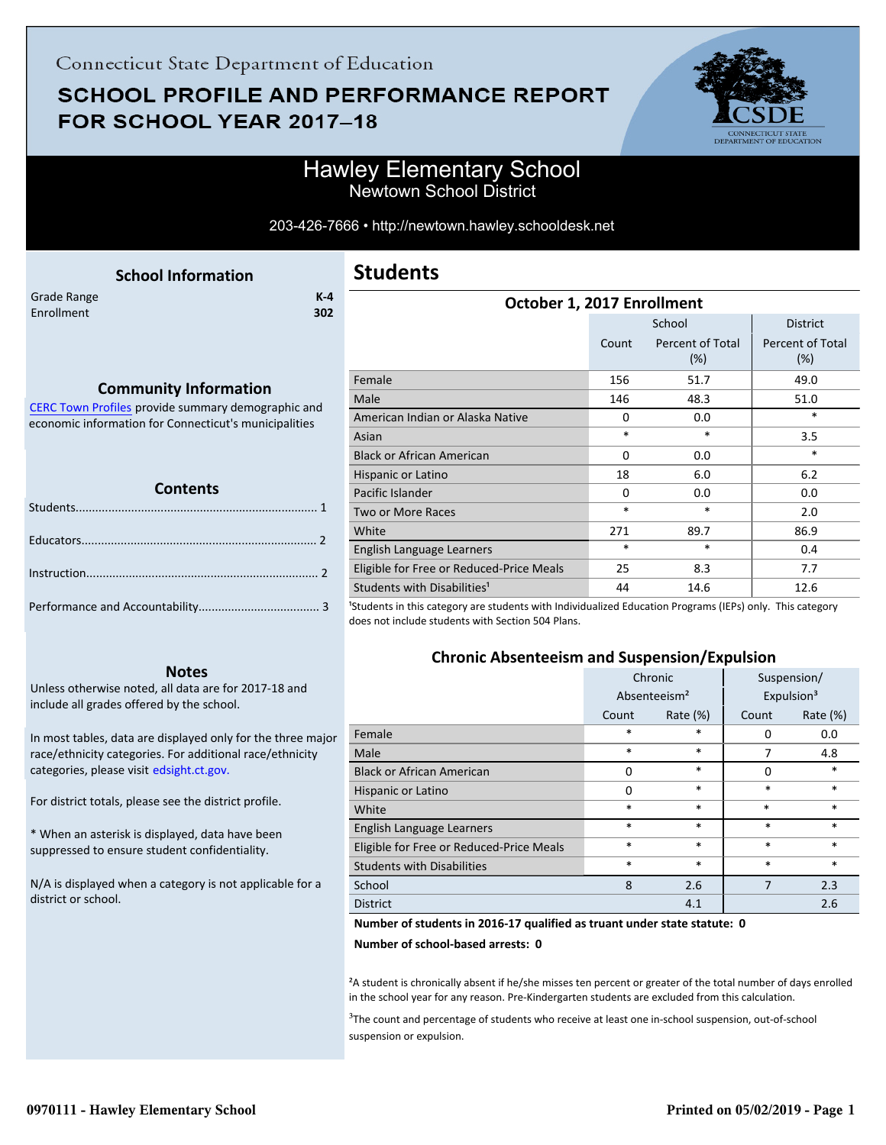# **SCHOOL PROFILE AND PERFORMANCE REPORT** FOR SCHOOL YEAR 2017-18



### Hawley Elementary School Newtown School District

203-426-7666 • http://newtown.hawley.schooldesk.net

<span id="page-0-0"></span>

|             | <b>School Information</b> |         |
|-------------|---------------------------|---------|
| Grade Range |                           | $K - 4$ |
| Enrollment  |                           | 302     |
|             |                           |         |
|             |                           |         |

### **Community Information**

[CERC Town Profiles provide summary demographic and](http://www.cerc.com/townprofiles/) economic information for Connecticut's municipalities

#### **Contents**

#### **Notes**

Unless otherwise noted, all data are for 2017-18 and include all grades offered by the school.

[In most tables, data are displayed only for the three major](http://edsight.ct.gov/) race/ethnicity categories. For additional race/ethnicity categories, please visit edsight.ct.gov.

For district totals, please see the district profile.

\* When an asterisk is displayed, data have been suppressed to ensure student confidentiality.

N/A is displayed when a category is not applicable for a district or school.

### **Students**

| October 1, 2017 Enrollment               |          |                            |                                |  |
|------------------------------------------|----------|----------------------------|--------------------------------|--|
|                                          |          | School                     | <b>District</b>                |  |
|                                          | Count    | Percent of Total<br>$(\%)$ | <b>Percent of Total</b><br>(%) |  |
| Female                                   | 156      | 51.7                       | 49.0                           |  |
| Male                                     | 146      | 48.3                       | 51.0                           |  |
| American Indian or Alaska Native         | $\Omega$ | 0.0                        | *                              |  |
| Asian                                    | $\ast$   | *                          | 3.5                            |  |
| <b>Black or African American</b>         | 0        | 0.0                        | *                              |  |
| Hispanic or Latino                       | 18       | 6.0                        | 6.2                            |  |
| Pacific Islander                         | $\Omega$ | 0.0                        | 0.0                            |  |
| <b>Two or More Races</b>                 | $\ast$   | *                          | 2.0                            |  |
| White                                    | 271      | 89.7                       | 86.9                           |  |
| English Language Learners                | $\ast$   | *                          | 0.4                            |  |
| Eligible for Free or Reduced-Price Meals | 25       | 8.3                        | 7.7                            |  |
| Students with Disabilities <sup>1</sup>  | 44       | 14.6                       | 12.6                           |  |

<sup>1</sup>Students in this category are students with Individualized Education Programs (IEPs) only. This category does not include students with Section 504 Plans.

### **Chronic Absenteeism and Suspension/Expulsion**

|                                          | Chronic                  |             | Suspension/ |                        |
|------------------------------------------|--------------------------|-------------|-------------|------------------------|
|                                          | Absenteeism <sup>2</sup> |             |             | Expulsion <sup>3</sup> |
|                                          | Count                    | Rate $(\%)$ | Count       | Rate (%)               |
| Female                                   | $\ast$                   | $\ast$      | $\Omega$    | 0.0                    |
| Male                                     | $\ast$                   | $\ast$      | 7           | 4.8                    |
| <b>Black or African American</b>         | 0                        | $\ast$      | 0           | $\ast$                 |
| Hispanic or Latino                       | $\Omega$                 | $\ast$      | *           | $\ast$                 |
| White                                    | $\ast$                   | $\ast$      | $\ast$      | $\ast$                 |
| English Language Learners                | $\ast$                   | $\ast$      | $\ast$      | $\ast$                 |
| Eligible for Free or Reduced-Price Meals | $\ast$                   | $\ast$      | $\ast$      | $\ast$                 |
| <b>Students with Disabilities</b>        | $\ast$                   | $\ast$      | $\ast$      | $\ast$                 |
| School                                   | 8                        | 2.6         | 7           | 2.3                    |
| <b>District</b>                          |                          | 4.1         |             | 2.6                    |

#### **Number of students in 2016-17 qualified as truant under state statute: 0**

**Number of school-based arrests: 0**

²A student is chronically absent if he/she misses ten percent or greater of the total number of days enrolled in the school year for any reason. Pre-Kindergarten students are excluded from this calculation.

<sup>3</sup>The count and percentage of students who receive at least one in-school suspension, out-of-school suspension or expulsion.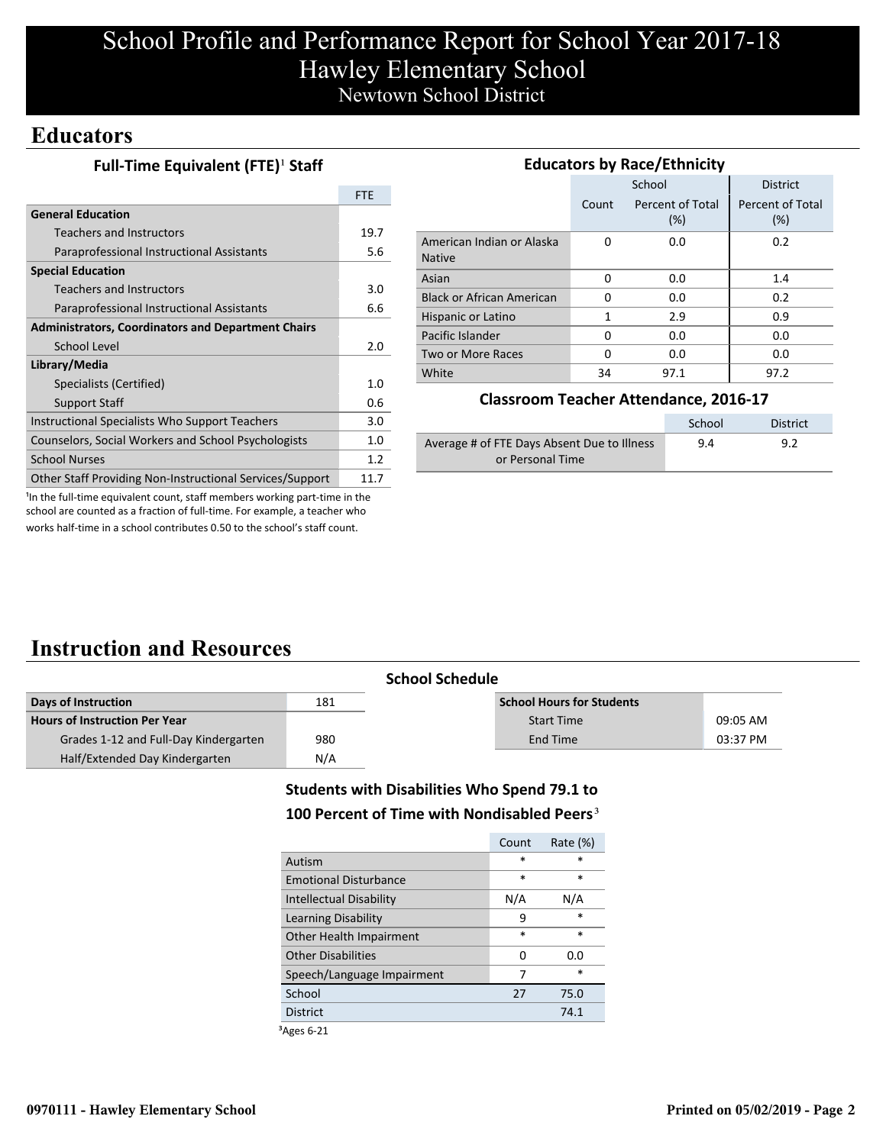# School Profile and Performance Report for School Year 2017-18 Hawley Elementary School Newtown School District

### **Educators**

| Full-Time Equivalent (FTE) <sup>1</sup> Staff |  |
|-----------------------------------------------|--|
|-----------------------------------------------|--|

|                                                           | <b>FTE</b> |
|-----------------------------------------------------------|------------|
| <b>General Education</b>                                  |            |
| <b>Teachers and Instructors</b>                           | 19.7       |
| Paraprofessional Instructional Assistants                 | 5.6        |
| <b>Special Education</b>                                  |            |
| <b>Teachers and Instructors</b>                           | 3.0        |
| Paraprofessional Instructional Assistants                 | 6.6        |
| <b>Administrators, Coordinators and Department Chairs</b> |            |
| School Level                                              | 2.0        |
| Library/Media                                             |            |
| Specialists (Certified)                                   | 1.0        |
| <b>Support Staff</b>                                      | 0.6        |
| Instructional Specialists Who Support Teachers            | 3.0        |
| Counselors, Social Workers and School Psychologists       | 1.0        |
| <b>School Nurses</b>                                      | 1.2        |
| Other Staff Providing Non-Instructional Services/Support  | 11.7       |

| <b>Educators by Race/Ethnicity</b>         |       |                         |                         |  |  |
|--------------------------------------------|-------|-------------------------|-------------------------|--|--|
|                                            |       | School                  | <b>District</b>         |  |  |
|                                            | Count | Percent of Total<br>(%) | Percent of Total<br>(%) |  |  |
| American Indian or Alaska<br><b>Native</b> | 0     | 0.0                     | 0.2                     |  |  |
| Asian                                      | 0     | 0.0                     | 1.4                     |  |  |
| <b>Black or African American</b>           | 0     | 0.0                     | 0.2                     |  |  |
| Hispanic or Latino                         | 1     | 2.9                     | 0.9                     |  |  |
| Pacific Islander                           | O     | 0.0                     | 0.0                     |  |  |
| Two or More Races                          | 0     | 0.0                     | 0.0                     |  |  |
| White                                      | 34    | 97.1                    | 97.2                    |  |  |

#### **Classroom Teacher Attendance, 2016-17**

|                                             | School | District |
|---------------------------------------------|--------|----------|
| Average # of FTE Days Absent Due to Illness | 9.4    | 9.2      |
| or Personal Time                            |        |          |

<sup>1</sup>In the full-time equivalent count, staff members working part-time in the school are counted as a fraction of full-time. For example, a teacher who works half-time in a school contributes 0.50 to the school's staff count.

## **Instruction and Resources**

|                                       | <b>School Schedule</b> |                                  |          |
|---------------------------------------|------------------------|----------------------------------|----------|
| Days of Instruction                   | 181                    | <b>School Hours for Students</b> |          |
| <b>Hours of Instruction Per Year</b>  |                        | <b>Start Time</b>                | 09:05 AM |
| Grades 1-12 and Full-Day Kindergarten | 980                    | End Time                         | 03:37 PM |
| Half/Extended Day Kindergarten        | N/A                    |                                  |          |

### **Students with Disabilities Who Spend 79.1 to**

### 100 Percent of Time with Nondisabled Peers<sup>3</sup>

|                                | Count  | Rate (%) |
|--------------------------------|--------|----------|
| Autism                         | $\ast$ | ×        |
| <b>Emotional Disturbance</b>   | $\ast$ | *        |
| <b>Intellectual Disability</b> | N/A    | N/A      |
| Learning Disability            | ٩      | $\ast$   |
| Other Health Impairment        | $\ast$ | $\ast$   |
| <b>Other Disabilities</b>      | 0      | 0.O      |
| Speech/Language Impairment     | 7      | $\ast$   |
| School                         | 27     | 75.0     |
| <b>District</b>                |        | 74.1     |
|                                |        |          |

³Ages 6-21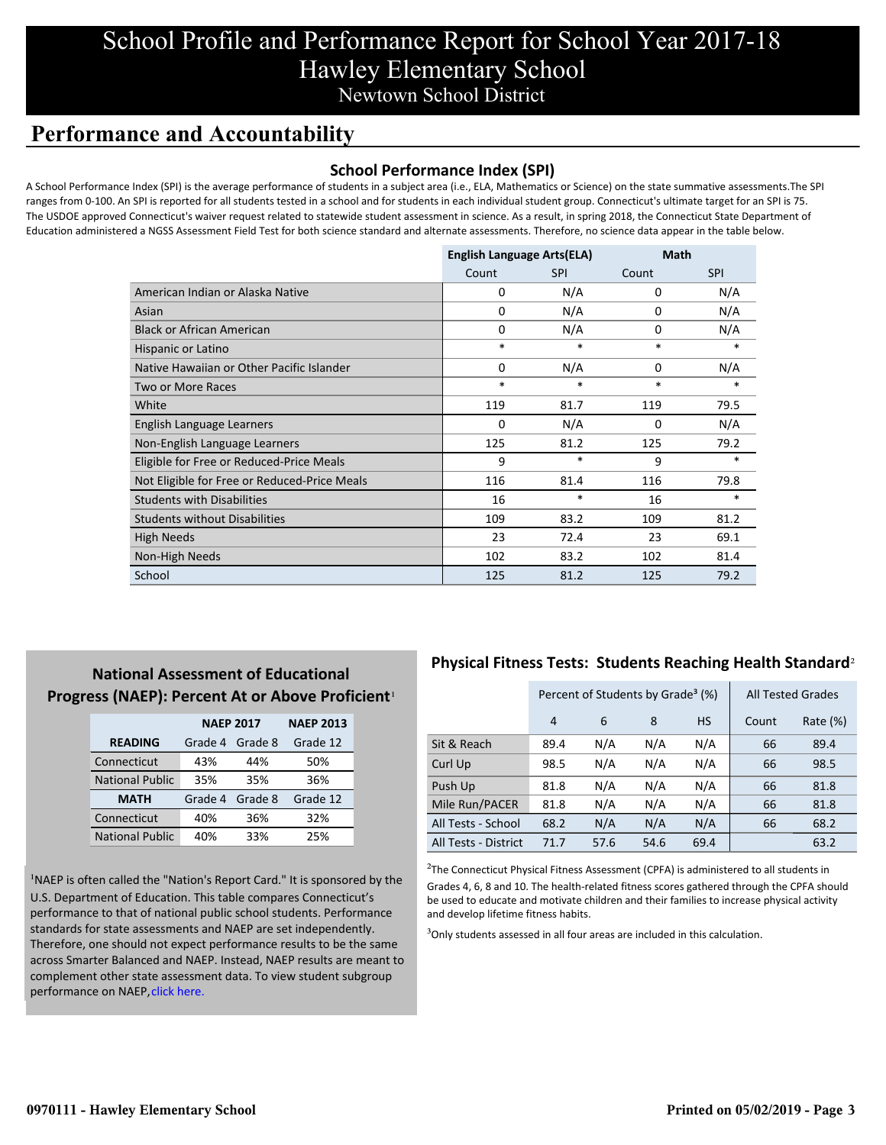## School Profile and Performance Report for School Year 2017-18 Hawley Elementary School Newtown School District

## **Performance and Accountability**

#### **School Performance Index (SPI)**

A School Performance Index (SPI) is the average performance of students in a subject area (i.e., ELA, Mathematics or Science) on the state summative assessments.The SPI ranges from 0-100. An SPI is reported for all students tested in a school and for students in each individual student group. Connecticut's ultimate target for an SPI is 75. The USDOE approved Connecticut's waiver request related to statewide student assessment in science. As a result, in spring 2018, the Connecticut State Department of Education administered a NGSS Assessment Field Test for both science standard and alternate assessments. Therefore, no science data appear in the table below.

|                                              | <b>English Language Arts(ELA)</b> |            | Math     |            |
|----------------------------------------------|-----------------------------------|------------|----------|------------|
|                                              | Count                             | <b>SPI</b> | Count    | <b>SPI</b> |
| American Indian or Alaska Native             | 0                                 | N/A        | 0        | N/A        |
| Asian                                        | 0                                 | N/A        | 0        | N/A        |
| <b>Black or African American</b>             | $\Omega$                          | N/A        | $\Omega$ | N/A        |
| Hispanic or Latino                           | $\ast$                            | $\ast$     | $\ast$   | $\ast$     |
| Native Hawaiian or Other Pacific Islander    | 0                                 | N/A        | 0        | N/A        |
| Two or More Races                            | $\ast$                            | $\ast$     | $\ast$   | *          |
| White                                        | 119                               | 81.7       | 119      | 79.5       |
| English Language Learners                    | $\Omega$                          | N/A        | $\Omega$ | N/A        |
| Non-English Language Learners                | 125                               | 81.2       | 125      | 79.2       |
| Eligible for Free or Reduced-Price Meals     | 9                                 | *          | 9        | *          |
| Not Eligible for Free or Reduced-Price Meals | 116                               | 81.4       | 116      | 79.8       |
| <b>Students with Disabilities</b>            | 16                                | $\ast$     | 16       | *          |
| <b>Students without Disabilities</b>         | 109                               | 83.2       | 109      | 81.2       |
| <b>High Needs</b>                            | 23                                | 72.4       | 23       | 69.1       |
| Non-High Needs                               | 102                               | 83.2       | 102      | 81.4       |
| School                                       | 125                               | 81.2       | 125      | 79.2       |

### **National Assessment of Educational Progress (NAEP): Percent At or Above Proficient**<sup>1</sup>

|                        | <b>NAEP 2017</b> | <b>NAEP 2013</b> |          |
|------------------------|------------------|------------------|----------|
| <b>READING</b>         | Grade 4          | Grade 8          | Grade 12 |
| Connecticut            | 43%              | 44%              | 50%      |
| <b>National Public</b> | 35%              | 35%              | 36%      |
| <b>MATH</b>            | Grade 4          | Grade 8          | Grade 12 |
| Connecticut            | 40%              | 36%              | 32%      |
| <b>National Public</b> | 40%              | 33%              | 25%      |

<sup>1</sup>NAEP is often called the "Nation's Report Card." It is sponsored by the U.S. Department of Education. This table compares Connecticut's performance to that of national public school students. Performance standards for state assessments and NAEP are set independently. Therefore, one should not expect performance results to be the same [across Smarter Balanced and NAEP. Instead, NAEP results are meant to](https://portal.ct.gov/-/media/SDE/Student-Assessment/NAEP/report-card_NAEP-2017.pdf?la=en) complement other state assessment data. To view student subgroup performance on NAEP, click here.

### **Physical Fitness Tests: Students Reaching Health Standard**²

|                      | Percent of Students by Grade <sup>3</sup> (%) |      |      |           | <b>All Tested Grades</b> |          |
|----------------------|-----------------------------------------------|------|------|-----------|--------------------------|----------|
|                      | 4                                             | 6    | 8    | <b>HS</b> | Count                    | Rate (%) |
| Sit & Reach          | 89.4                                          | N/A  | N/A  | N/A       | 66                       | 89.4     |
| Curl Up              | 98.5                                          | N/A  | N/A  | N/A       | 66                       | 98.5     |
| Push Up              | 81.8                                          | N/A  | N/A  | N/A       | 66                       | 81.8     |
| Mile Run/PACER       | 81.8                                          | N/A  | N/A  | N/A       | 66                       | 81.8     |
| All Tests - School   | 68.2                                          | N/A  | N/A  | N/A       | 66                       | 68.2     |
| All Tests - District | 71.7                                          | 57.6 | 54.6 | 69.4      |                          | 63.2     |

 $2$ The Connecticut Physical Fitness Assessment (CPFA) is administered to all students in Grades 4, 6, 8 and 10. The health-related fitness scores gathered through the CPFA should be used to educate and motivate children and their families to increase physical activity and develop lifetime fitness habits.

 $3$ Only students assessed in all four areas are included in this calculation.